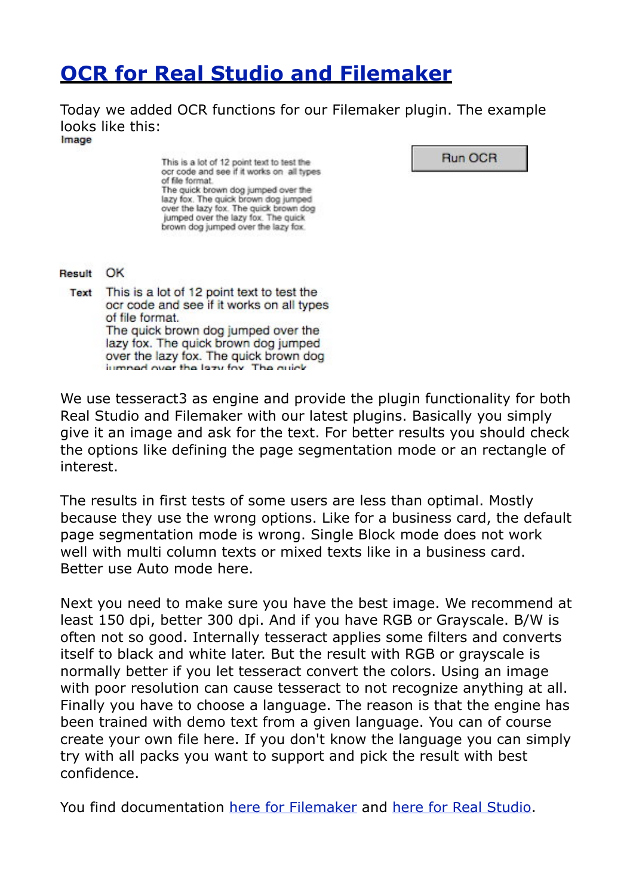## **[OCR for Real Studio and Filemaker](http://www.mbsplugins.de/archive/2012-08-29/OCR_for_Real_Studio_and_Filema)**

Today we added OCR functions for our Filemaker plugin. The example looks like this:<br>Image

This is a lot of 12 point text to test the ocr code and see if it works on all types of file format. The quick brown dog jumped over the lazy fox. The quick brown dog jumped over the lazy fox. The quick brown dog jumped over the lazy fox. The quick brown dog jumped over the lazy fox.

Run OCR

Result OK

Text This is a lot of 12 point text to test the ocr code and see if it works on all types of file format. The quick brown dog jumped over the lazy fox. The quick brown dog jumped over the lazy fox. The quick brown dog iumned over the lezy fox. The quick

We use tesseract3 as engine and provide the plugin functionality for both Real Studio and Filemaker with our latest plugins. Basically you simply give it an image and ask for the text. For better results you should check the options like defining the page segmentation mode or an rectangle of interest.

The results in first tests of some users are less than optimal. Mostly because they use the wrong options. Like for a business card, the default page segmentation mode is wrong. Single Block mode does not work well with multi column texts or mixed texts like in a business card. Better use Auto mode here.

Next you need to make sure you have the best image. We recommend at least 150 dpi, better 300 dpi. And if you have RGB or Grayscale. B/W is often not so good. Internally tesseract applies some filters and converts itself to black and white later. But the result with RGB or grayscale is normally better if you let tesseract convert the colors. Using an image with poor resolution can cause tesseract to not recognize anything at all. Finally you have to choose a language. The reason is that the engine has been trained with demo text from a given language. You can of course create your own file here. If you don't know the language you can simply try with all packs you want to support and pick the result with best confidence.

You find documentation [here for Filemaker](http://www.mbsplugins.eu/component_OCR.shtml) and [here for Real Studio](http://www.monkeybreadsoftware.net/class-tesseractmbs.shtml).